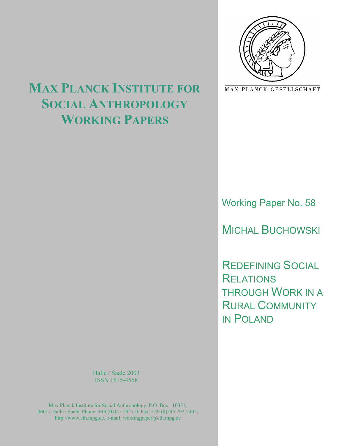

MAX-PLANCK-GESELLSCHAFT

# **MAX PLANCK INSTITUTE FOR SOCIAL ANTHROPOLOGY WORKING PAPERS**

Working Paper No. 58

MICHAL BUCHOWSKI

REDEFINING SOCIAL **RELATIONS** THROUGH WORK IN A RURAL COMMUNITY IN POLAND

Halle / Saale 2003 ISSN 1615-4568

Max Planck Institute for Social Anthropology, P.O. Box 110351, 06017 Halle / Saale, Phone: +49 (0)345 2927-0, Fax: +49 (0)345 2927-402, http://www.eth.mpg.de, e-mail: workingpaper@eth.mpg.de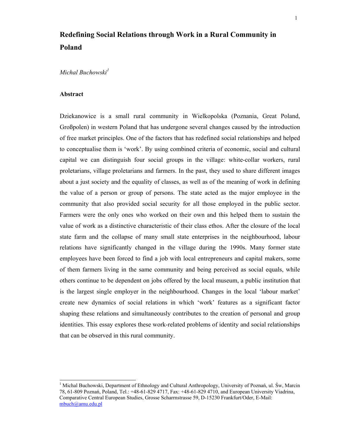# **Redefining Social Relations through Work in a Rural Community in Poland**

# *Michal Buchowski<sup>1</sup>*

#### **Abstract**

 $\overline{a}$ 

Dziekanowice is a small rural community in Wielkopolska (Poznania, Great Poland, Großpolen) in western Poland that has undergone several changes caused by the introduction of free market principles. One of the factors that has redefined social relationships and helped to conceptualise them is 'work'. By using combined criteria of economic, social and cultural capital we can distinguish four social groups in the village: white-collar workers, rural proletarians, village proletarians and farmers. In the past, they used to share different images about a just society and the equality of classes, as well as of the meaning of work in defining the value of a person or group of persons. The state acted as the major employee in the community that also provided social security for all those employed in the public sector. Farmers were the only ones who worked on their own and this helped them to sustain the value of work as a distinctive characteristic of their class ethos. After the closure of the local state farm and the collapse of many small state enterprises in the neighbourhood, labour relations have significantly changed in the village during the 1990s. Many former state employees have been forced to find a job with local entrepreneurs and capital makers, some of them farmers living in the same community and being perceived as social equals, while others continue to be dependent on jobs offered by the local museum, a public institution that is the largest single employer in the neighbourhood. Changes in the local 'labour market' create new dynamics of social relations in which 'work' features as a significant factor shaping these relations and simultaneously contributes to the creation of personal and group identities. This essay explores these work-related problems of identity and social relationships that can be observed in this rural community.

<sup>&</sup>lt;sup>1</sup> Michal Buchowski, Department of Ethnology and Cultural Anthropology, University of Poznań, ul. Św, Marcin 78, 61-809 Poznań, Poland, Tel.: +48-61-829 4717, Fax: +48-61-829 4710, and European University Viadrina, Comparative Central European Studies, Grosse Scharrnstrasse 59, D-15230 Frankfurt/Oder, E-Mail: mbuch@amu.edu.pl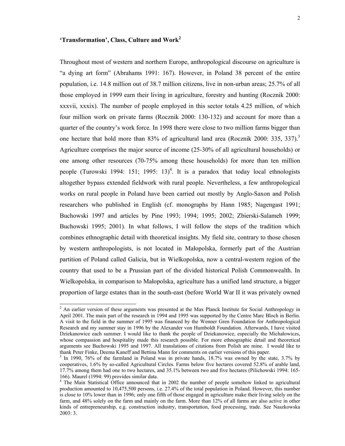# **'Transformation', Class, Culture and Work<sup>2</sup>**

l

Throughout most of western and northern Europe, anthropological discourse on agriculture is "a dying art form" (Abrahams 1991: 167). However, in Poland 38 percent of the entire population, i.e. 14.8 million out of 38.7 million citizens, live in non-urban areas; 25.7% of all those employed in 1999 earn their living in agriculture, forestry and hunting (Rocznik 2000: xxxvii, xxxix). The number of people employed in this sector totals 4.25 million, of which four million work on private farms (Rocznik 2000: 130-132) and account for more than a quarter of the country's work force. In 1998 there were close to two million farms bigger than one hectare that hold more than 83% of agricultural land area (Rocznik 2000: 335, 337).<sup>3</sup> Agriculture comprises the major source of income (25-30% of all agricultural households) or one among other resources (70-75% among these households) for more than ten million people (Turowski 1994: 151; 1995: 13)<sup>4</sup>. It is a paradox that today local ethnologists altogether bypass extended fieldwork with rural people. Nevertheless, a few anthropological works on rural people in Poland have been carried out mostly by Anglo-Saxon and Polish researchers who published in English (cf. monographs by Hann 1985; Nagengast 1991; Buchowski 1997 and articles by Pine 1993; 1994; 1995; 2002; Zbierski-Salameh 1999; Buchowski 1995; 2001). In what follows, I will follow the steps of the tradition which combines ethnographic detail with theoretical insights. My field site, contrary to those chosen by western anthropologists, is not located in Małopolska, formerly part of the Austrian partition of Poland called Galicia, but in Wielkopolska, now a central-western region of the country that used to be a Prussian part of the divided historical Polish Commonwealth. In Wielkopolska, in comparison to Małopolska, agriculture has a unified land structure, a bigger proportion of large estates than in the south-east (before World War II it was privately owned

<sup>&</sup>lt;sup>2</sup> An earlier version of these arguments was presented at the Max Planck Institute for Social Anthropology in April 2001. The main part of the research in 1994 and 1995 was supported by the Centre Marc Bloch in Berlin. A visit to the field in the summer of 1995 was financed by the Wenner Gren Foundation for Anthropological Research and my summer stay in 1996 by the Alexander von Humboldt Foundation. Afterwards, I have visited Dziekanowice each summer. I would like to thank the people of Dziekanowice, especially the Michałowiczs, whose compassion and hospitality made this research possible. For more ethnographic detail and theoretical arguments see Buchowski 1995 and 1997. All translations of citations from Polish are mine. I would like to thank Peter Finke, Deema Kaneff and Bettina Mann for comments on earlier versions of this paper.

<sup>&</sup>lt;sup>3</sup> In 1990, 76% of the farmland in Poland was in private hands, 18.7% was owned by the state, 3.7% by cooperatives, 1.6% by so-called Agricultural Circles. Farms below five hectares covered 52.8% of arable land, 17.7% among them had one to two hectares, and 35.1% between two and five hectares (Pilichowski 1994: 165- 166). Maurel (1994: 99) provides similar data.

<sup>&</sup>lt;sup>4</sup> The Main Statistical Office announced that in 2002 the number of people somehow linked to agricultural production amounted to 10,475,500 persons, i.e. 27.4% of the total population in Poland. However, this number is close to 10% lower than in 1996; only one fifth of those engaged in agriculture make their living solely on the farm, and 48% solely on the farm and mainly on the farm. More than 12% of all farms are also active in other kinds of entrepreneurship, e.g. construction industry, transportation, food processing, trade. See Naszkowska 2003: 3.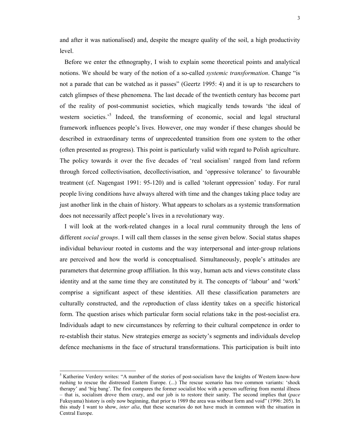and after it was nationalised) and, despite the meagre quality of the soil, a high productivity level.

 Before we enter the ethnography, I wish to explain some theoretical points and analytical notions. We should be wary of the notion of a so-called *systemic transformation*. Change "is not a parade that can be watched as it passes" (Geertz 1995: 4) and it is up to researchers to catch glimpses of these phenomena. The last decade of the twentieth century has become part of the reality of post-communist societies, which magically tends towards 'the ideal of western societies.<sup>5</sup> Indeed, the transforming of economic, social and legal structural framework influences people's lives. However, one may wonder if these changes should be described in extraordinary terms of unprecedented transition from one system to the other (often presented as progress). This point is particularly valid with regard to Polish agriculture. The policy towards it over the five decades of 'real socialism' ranged from land reform through forced collectivisation, decollectivisation, and 'oppressive tolerance' to favourable treatment (cf. Nagengast 1991: 95-120) and is called 'tolerant oppression' today. For rural people living conditions have always altered with time and the changes taking place today are just another link in the chain of history. What appears to scholars as a systemic transformation does not necessarily affect people's lives in a revolutionary way.

 I will look at the work-related changes in a local rural community through the lens of different *social groups*. I will call them classes in the sense given below. Social status shapes individual behaviour rooted in customs and the way interpersonal and inter-group relations are perceived and how the world is conceptualised. Simultaneously, people's attitudes are parameters that determine group affiliation. In this way, human acts and views constitute class identity and at the same time they are constituted by it. The concepts of 'labour' and 'work' comprise a significant aspect of these identities. All these classification parameters are culturally constructed, and the *re*production of class identity takes on a specific historical form. The question arises which particular form social relations take in the post-socialist era. Individuals adapt to new circumstances by referring to their cultural competence in order to re-establish their status. New strategies emerge as society's segments and individuals develop defence mechanisms in the face of structural transformations. This participation is built into

 $<sup>5</sup>$  Katherine Verdery writes: "A number of the stories of post-socialism have the knights of Western know-how</sup> rushing to rescue the distressed Eastern Europe. (...) The rescue scenario has two common variants: 'shock therapy' and 'big bang'. The first compares the former socialist bloc with a person suffering from mental illness – that is, socialism drove them crazy, and our job is to restore their sanity. The second implies that (*pace* Fukuyama) history is only now beginning, that prior to 1989 the area was without form and void" (1996: 205). In this study I want to show, *inter alia*, that these scenarios do not have much in common with the situation in Central Europe.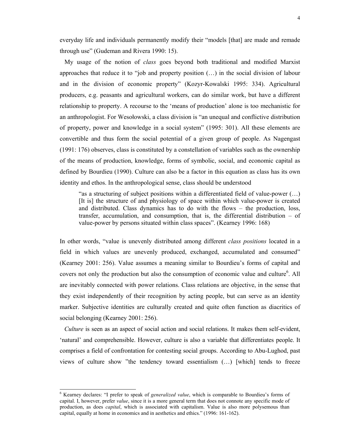everyday life and individuals permanently modify their "models [that] are made and remade through use" (Gudeman and Rivera 1990: 15).

 My usage of the notion of *class* goes beyond both traditional and modified Marxist approaches that reduce it to "job and property position (…) in the social division of labour and in the division of economic property" (Kozyr-Kowalski 1995: 334). Agricultural producers, e.g. peasants and agricultural workers, can do similar work, but have a different relationship to property. A recourse to the 'means of production' alone is too mechanistic for an anthropologist. For Wesołowski, a class division is "an unequal and conflictive distribution of property, power and knowledge in a social system" (1995: 301). All these elements are convertible and thus form the social potential of a given group of people. As Nagengast (1991: 176) observes, class is constituted by a constellation of variables such as the ownership of the means of production, knowledge, forms of symbolic, social, and economic capital as defined by Bourdieu (1990). Culture can also be a factor in this equation as class has its own identity and ethos. In the anthropological sense, class should be understood

"as a structuring of subject positions within a differentiated field of value-power  $(...)$ [It is] the structure of and physiology of space within which value-power is created and distributed. Class dynamics has to do with the flows – the production, loss, transfer, accumulation, and consumption, that is, the differential distribution – of value-power by persons situated within class spaces". (Kearney 1996: 168)

In other words, "value is unevenly distributed among different *class positions* located in a field in which values are unevenly produced, exchanged, accumulated and consumed" (Kearney 2001: 256). Value assumes a meaning similar to Bourdieu's forms of capital and covers not only the production but also the consumption of economic value and culture<sup>6</sup>. All are inevitably connected with power relations. Class relations are objective, in the sense that they exist independently of their recognition by acting people, but can serve as an identity marker. Subjective identities are culturally created and quite often function as diacritics of social belonging (Kearney 2001: 256).

 *Culture* is seen as an aspect of social action and social relations. It makes them self-evident, 'natural' and comprehensible. However, culture is also a variable that differentiates people. It comprises a field of confrontation for contesting social groups. According to Abu-Lughod, past views of culture show "the tendency toward essentialism (…) [which] tends to freeze

<sup>&</sup>lt;sup>6</sup> Kearney declares: "I prefer to speak of *generalized value*, which is comparable to Bourdieu's forms of capital. I, however, prefer *value*, since it is a more general term that does not connote any specific mode of production, as does *capital*, which is associated with capitalism. Value is also more polysemous than capital, equally at home in economics and in aesthetics and ethics." (1996: 161-162).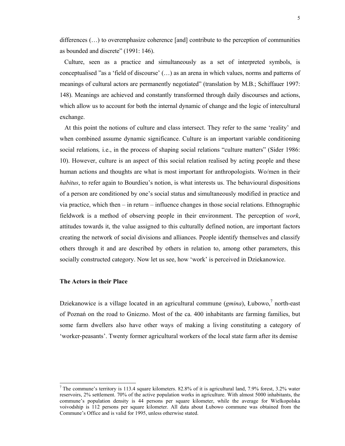differences  $(...)$  to overemphasize coherence [and] contribute to the perception of communities as bounded and discrete" (1991: 146).

 Culture, seen as a practice and simultaneously as a set of interpreted symbols, is conceptualised "as a 'field of discourse' (…) as an arena in which values, norms and patterns of meanings of cultural actors are permanently negotiated" (translation by M.B.; Schiffauer 1997: 148). Meanings are achieved and constantly transformed through daily discourses and actions, which allow us to account for both the internal dynamic of change and the logic of intercultural exchange.

 At this point the notions of culture and class intersect. They refer to the same 'reality' and when combined assume dynamic significance. Culture is an important variable conditioning social relations*,* i.e., in the process of shaping social relations "culture matters" (Sider 1986: 10). However, culture is an aspect of this social relation realised by acting people and these human actions and thoughts are what is most important for anthropologists. Wo/men in their *habitus*, to refer again to Bourdieu's notion, is what interests us. The behavioural dispositions of a person are conditioned by one's social status and simultaneously modified in practice and via practice, which then – in return – influence changes in those social relations. Ethnographic fieldwork is a method of observing people in their environment. The perception of *work*, attitudes towards it, the value assigned to this culturally defined notion, are important factors creating the network of social divisions and alliances. People identify themselves and classify others through it and are described by others in relation to, among other parameters, this socially constructed category. Now let us see, how 'work' is perceived in Dziekanowice.

### **The Actors in their Place**

l

Dziekanowice is a village located in an agricultural commune (*gmina*), Łubowo,<sup>7</sup> north-east of Poznań on the road to Gniezno. Most of the ca. 400 inhabitants are farming families, but some farm dwellers also have other ways of making a living constituting a category of 'worker-peasants'. Twenty former agricultural workers of the local state farm after its demise

<sup>&</sup>lt;sup>7</sup> The commune's territory is 113.4 square kilometers. 82.8% of it is agricultural land, 7.9% forest, 3.2% water reservoirs, 2% settlement. 70% of the active population works in agriculture. With almost 5000 inhabitants, the commune's population density is 44 persons per square kilometer, while the average for Wielkopolska voivodship is 112 persons per square kilometer. All data about Łubowo commune was obtained from the Commune's Office and is valid for 1995, unless otherwise stated.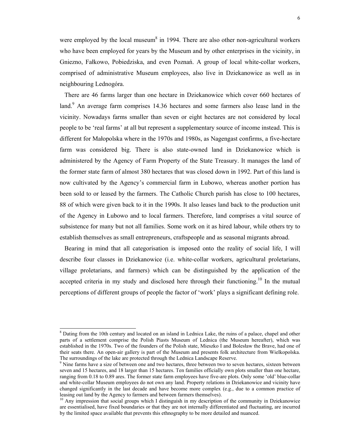were employed by the local museum<sup>8</sup> in 1994. There are also other non-agricultural workers who have been employed for years by the Museum and by other enterprises in the vicinity, in Gniezno, Fałkowo, Pobiedziska, and even Poznań. A group of local white-collar workers, comprised of administrative Museum employees, also live in Dziekanowice as well as in neighbouring Lednogóra.

 There are 46 farms larger than one hectare in Dziekanowice which cover 660 hectares of land.<sup>9</sup> An average farm comprises 14.36 hectares and some farmers also lease land in the vicinity. Nowadays farms smaller than seven or eight hectares are not considered by local people to be 'real farms' at all but represent a supplementary source of income instead. This is different for Małopolska where in the 1970s and 1980s, as Nagengast confirms, a five-hectare farm was considered big. There is also state-owned land in Dziekanowice which is administered by the Agency of Farm Property of the State Treasury. It manages the land of the former state farm of almost 380 hectares that was closed down in 1992. Part of this land is now cultivated by the Agency's commercial farm in Łubowo, whereas another portion has been sold to or leased by the farmers. The Catholic Church parish has close to 100 hectares, 88 of which were given back to it in the 1990s. It also leases land back to the production unit of the Agency in Łubowo and to local farmers. Therefore, land comprises a vital source of subsistence for many but not all families. Some work on it as hired labour, while others try to establish themselves as small entrepreneurs, craftspeople and as seasonal migrants abroad.

 Bearing in mind that all categorisation is imposed onto the reality of social life, I will describe four classes in Dziekanowice (i.e. white-collar workers, agricultural proletarians, village proletarians, and farmers) which can be distinguished by the application of the accepted criteria in my study and disclosed here through their functioning.<sup>10</sup> In the mutual perceptions of different groups of people the factor of 'work' plays a significant defining role.

<sup>&</sup>lt;sup>8</sup> Dating from the 10th century and located on an island in Lednica Lake, the ruins of a palace, chapel and other parts of a settlement comprise the Polish Piasts Museum of Lednica (the Museum hereafter), which was established in the 1970s. Two of the founders of the Polish state, Mieszko I and Bolesław the Brave, had one of their seats there. An open-air gallery is part of the Museum and presents folk architecture from Wielkopolska. The surroundings of the lake are protected through the Lednica Landscape Reserve.

<sup>&</sup>lt;sup>9</sup> Nine farms have a size of between one and two hectares, three between two to seven hectares, sixteen between seven and 15 hectares, and 18 larger than 15 hectares. Ten families officially own plots smaller than one hectare, ranging from 0.18 to 0.89 ares. The former state farm employees have five-are plots. Only some 'old' blue-collar and white-collar Museum employees do not own any land. Property relations in Dziekanowice and vicinity have changed significantly in the last decade and have become more complex (e.g., due to a common practice of leasing out land by the Agency to farmers and between farmers themselves).

 $10$  Any impression that social groups which I distinguish in my description of the community in Dziekanowice are essentialised, have fixed boundaries or that they are not internally differentiated and fluctuating, are incurred by the limited space available that prevents this ethnography to be more detailed and nuanced.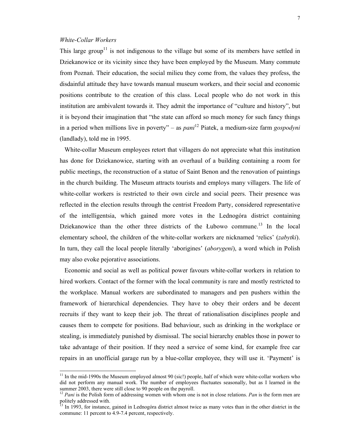# *White-Collar Workers*

 $\overline{a}$ 

This large group<sup>11</sup> is not indigenous to the village but some of its members have settled in Dziekanowice or its vicinity since they have been employed by the Museum. Many commute from Poznań. Their education, the social milieu they come from, the values they profess, the disdainful attitude they have towards manual museum workers, and their social and economic positions contribute to the creation of this class. Local people who do not work in this institution are ambivalent towards it. They admit the importance of "culture and history", but it is beyond their imagination that "the state can afford so much money for such fancy things in a period when millions live in poverty" – as *pani*12 Piatek, a medium-size farm *gospodyni* (landlady), told me in 1995.

 White-collar Museum employees retort that villagers do not appreciate what this institution has done for Dziekanowice, starting with an overhaul of a building containing a room for public meetings, the reconstruction of a statue of Saint Benon and the renovation of paintings in the church building. The Museum attracts tourists and employs many villagers. The life of white-collar workers is restricted to their own circle and social peers. Their presence was reflected in the election results through the centrist Freedom Party, considered representative of the intelligentsia, which gained more votes in the Lednogóra district containing Dziekanowice than the other three districts of the Łubowo commune.<sup>13</sup> In the local elementary school, the children of the white-collar workers are nicknamed 'relics' (*zabytki*). In turn, they call the local people literally 'aborigines' (*aborygeni*), a word which in Polish may also evoke pejorative associations.

 Economic and social as well as political power favours white-collar workers in relation to hired workers. Contact of the former with the local community is rare and mostly restricted to the workplace. Manual workers are subordinated to managers and pen pushers within the framework of hierarchical dependencies. They have to obey their orders and be decent recruits if they want to keep their job. The threat of rationalisation disciplines people and causes them to compete for positions. Bad behaviour, such as drinking in the workplace or stealing, is immediately punished by dismissal. The social hierarchy enables those in power to take advantage of their position. If they need a service of some kind, for example free car repairs in an unofficial garage run by a blue-collar employee, they will use it. 'Payment' is

<sup>&</sup>lt;sup>11</sup> In the mid-1990s the Museum employed almost 90 (sic!) people, half of which were white-collar workers who did not perform any manual work. The number of employees fluctuates seasonally, but as I learned in the summer 2003, there were still close to 90 people on the payroll.

<sup>12</sup> *Pani* is the Polish form of addressing women with whom one is not in close relations. *Pan* is the form men are  $\frac{1}{2}$  and roush form<br>politely addressed with.

<sup>13</sup> In 1993, for instance, gained in Lednogóra district almost twice as many votes than in the other district in the commune: 11 percent to 4.9-7.4 percent, respectively.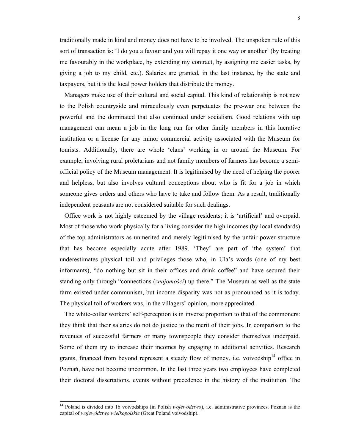traditionally made in kind and money does not have to be involved. The unspoken rule of this sort of transaction is: 'I do you a favour and you will repay it one way or another' (by treating me favourably in the workplace, by extending my contract, by assigning me easier tasks, by giving a job to my child, etc.). Salaries are granted, in the last instance, by the state and taxpayers, but it is the local power holders that distribute the money.

 Managers make use of their cultural and social capital. This kind of relationship is not new to the Polish countryside and miraculously even perpetuates the pre-war one between the powerful and the dominated that also continued under socialism. Good relations with top management can mean a job in the long run for other family members in this lucrative institution or a license for any minor commercial activity associated with the Museum for tourists. Additionally, there are whole 'clans' working in or around the Museum. For example, involving rural proletarians and not family members of farmers has become a semiofficial policy of the Museum management. It is legitimised by the need of helping the poorer and helpless, but also involves cultural conceptions about who is fit for a job in which someone gives orders and others who have to take and follow them. As a result, traditionally independent peasants are not considered suitable for such dealings.

 Office work is not highly esteemed by the village residents; it is 'artificial' and overpaid. Most of those who work physically for a living consider the high incomes (by local standards) of the top administrators as unmerited and merely legitimised by the unfair power structure that has become especially acute after 1989. 'They' are part of 'the system' that underestimates physical toil and privileges those who, in Ula's words (one of my best informants), "do nothing but sit in their offices and drink coffee" and have secured their standing only through "connections (*znajomości*) up there." The Museum as well as the state farm existed under communism, but income disparity was not as pronounced as it is today. The physical toil of workers was, in the villagers' opinion, more appreciated.

 The white-collar workers' self-perception is in inverse proportion to that of the commoners: they think that their salaries do not do justice to the merit of their jobs. In comparison to the revenues of successful farmers or many townspeople they consider themselves underpaid. Some of them try to increase their incomes by engaging in additional activities. Research grants, financed from beyond represent a steady flow of money, i.e. voivodship<sup>14</sup> office in Poznań, have not become uncommon. In the last three years two employees have completed their doctoral dissertations, events without precedence in the history of the institution. The

<sup>&</sup>lt;sup>14</sup> Poland is divided into 16 voivodships (in Polish *województwo*), i.e. administrative provinces. Poznań is the capital of *województwo wielkopolskie* (Great Poland voivodship).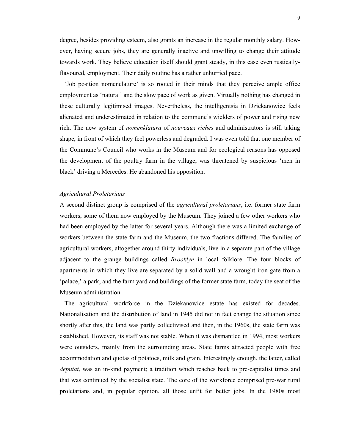degree, besides providing esteem, also grants an increase in the regular monthly salary. However, having secure jobs, they are generally inactive and unwilling to change their attitude towards work. They believe education itself should grant steady, in this case even rusticallyflavoured, employment. Their daily routine has a rather unhurried pace.

 'Job position nomenclature' is so rooted in their minds that they perceive ample office employment as 'natural' and the slow pace of work as given. Virtually nothing has changed in these culturally legitimised images. Nevertheless, the intelligentsia in Dziekanowice feels alienated and underestimated in relation to the commune's wielders of power and rising new rich. The new system of *nomenklatura* of *nouveaux riches* and administrators is still taking shape, in front of which they feel powerless and degraded. I was even told that one member of the Commune's Council who works in the Museum and for ecological reasons has opposed the development of the poultry farm in the village, was threatened by suspicious 'men in black' driving a Mercedes. He abandoned his opposition.

# *Agricultural Proletarians*

A second distinct group is comprised of the *agricultural proletarians*, i.e. former state farm workers, some of them now employed by the Museum. They joined a few other workers who had been employed by the latter for several years. Although there was a limited exchange of workers between the state farm and the Museum, the two fractions differed. The families of agricultural workers, altogether around thirty individuals, live in a separate part of the village adjacent to the grange buildings called *Brooklyn* in local folklore. The four blocks of apartments in which they live are separated by a solid wall and a wrought iron gate from a 'palace,' a park, and the farm yard and buildings of the former state farm, today the seat of the Museum administration.

 The agricultural workforce in the Dziekanowice estate has existed for decades. Nationalisation and the distribution of land in 1945 did not in fact change the situation since shortly after this, the land was partly collectivised and then, in the 1960s, the state farm was established. However, its staff was not stable. When it was dismantled in 1994, most workers were outsiders, mainly from the surrounding areas. State farms attracted people with free accommodation and quotas of potatoes, milk and grain. Interestingly enough, the latter, called *deputat*, was an in-kind payment; a tradition which reaches back to pre-capitalist times and that was continued by the socialist state. The core of the workforce comprised pre-war rural proletarians and, in popular opinion, all those unfit for better jobs. In the 1980s most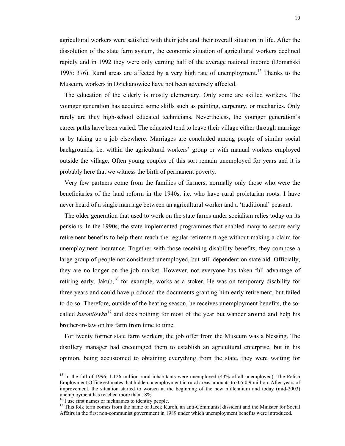agricultural workers were satisfied with their jobs and their overall situation in life. After the dissolution of the state farm system, the economic situation of agricultural workers declined rapidly and in 1992 they were only earning half of the average national income (Domański 1995: 376). Rural areas are affected by a very high rate of unemployment.<sup>15</sup> Thanks to the Museum, workers in Dziekanowice have not been adversely affected.

 The education of the elderly is mostly elementary. Only some are skilled workers. The younger generation has acquired some skills such as painting, carpentry, or mechanics. Only rarely are they high-school educated technicians. Nevertheless, the younger generation's career paths have been varied. The educated tend to leave their village either through marriage or by taking up a job elsewhere. Marriages are concluded among people of similar social backgrounds, i.e. within the agricultural workers' group or with manual workers employed outside the village. Often young couples of this sort remain unemployed for years and it is probably here that we witness the birth of permanent poverty.

 Very few partners come from the families of farmers, normally only those who were the beneficiaries of the land reform in the 1940s, i.e. who have rural proletarian roots. I have never heard of a single marriage between an agricultural worker and a 'traditional' peasant.

 The older generation that used to work on the state farms under socialism relies today on its pensions. In the 1990s, the state implemented programmes that enabled many to secure early retirement benefits to help them reach the regular retirement age without making a claim for unemployment insurance. Together with those receiving disability benefits, they compose a large group of people not considered unemployed, but still dependent on state aid. Officially, they are no longer on the job market. However, not everyone has taken full advantage of retiring early. Jakub,<sup>16</sup> for example, works as a stoker. He was on temporary disability for three years and could have produced the documents granting him early retirement, but failed to do so. Therefore, outside of the heating season, he receives unemployment benefits, the socalled *kuroniówka*17 and does nothing for most of the year but wander around and help his brother-in-law on his farm from time to time.

 For twenty former state farm workers, the job offer from the Museum was a blessing. The distillery manager had encouraged them to establish an agricultural enterprise, but in his opinion, being accustomed to obtaining everything from the state, they were waiting for

<sup>&</sup>lt;sup>15</sup> In the fall of 1996, 1.126 million rural inhabitants were unemployed (43% of all unemployed). The Polish Employment Office estimates that hidden unemployment in rural areas amounts to 0.6-0.9 million. After years of improvement, the situation started to worsen at the beginning of the new millennium and today (mid-2003) unemployment has reached more than 18%.

<sup>&</sup>lt;sup>16</sup> I use first names or nicknames to identify people.

<sup>&</sup>lt;sup>17</sup> This folk term comes from the name of Jacek Kuroń, an anti-Communist dissident and the Minister for Social Affairs in the first non-communist government in 1989 under which unemployment benefits were introduced.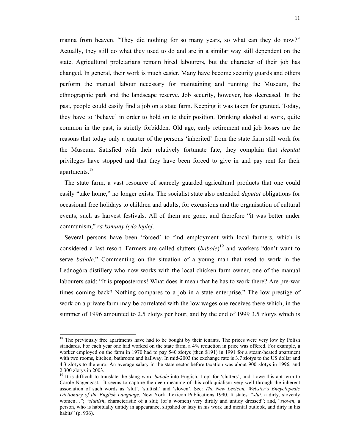manna from heaven. "They did nothing for so many years, so what can they do now?" Actually, they still do what they used to do and are in a similar way still dependent on the state. Agricultural proletarians remain hired labourers, but the character of their job has changed. In general, their work is much easier. Many have become security guards and others perform the manual labour necessary for maintaining and running the Museum, the ethnographic park and the landscape reserve. Job security, however, has decreased. In the past, people could easily find a job on a state farm. Keeping it was taken for granted. Today, they have to 'behave' in order to hold on to their position. Drinking alcohol at work, quite common in the past, is strictly forbidden. Old age, early retirement and job losses are the reasons that today only a quarter of the persons 'inherited' from the state farm still work for the Museum. Satisfied with their relatively fortunate fate, they complain that *deputat* privileges have stopped and that they have been forced to give in and pay rent for their apartments.<sup>18</sup>

 The state farm, a vast resource of scarcely guarded agricultural products that one could easily "take home," no longer exists. The socialist state also extended *deputat* obligations for occasional free holidays to children and adults, for excursions and the organisation of cultural events, such as harvest festivals. All of them are gone, and therefore "it was better under communism," *za komuny było lepiej*.

 Several persons have been 'forced' to find employment with local farmers, which is considered a last resort. Farmers are called slutters (*babole*) 19 and workers "don't want to serve *babole*." Commenting on the situation of a young man that used to work in the Lednogóra distillery who now works with the local chicken farm owner, one of the manual labourers said: "It is preposterous! What does it mean that he has to work there? Are pre-war times coming back? Nothing compares to a job in a state enterprise." The low prestige of work on a private farm may be correlated with the low wages one receives there which, in the summer of 1996 amounted to 2.5 zlotys per hour, and by the end of 1999 3.5 zlotys which is

1

<sup>&</sup>lt;sup>18</sup> The previously free apartments have had to be bought by their tenants. The prices were very low by Polish standards. For each year one had worked on the state farm, a 4% reduction in price was offered. For example, a worker employed on the farm in 1970 had to pay 540 zlotys (then \$191) in 1991 for a steam-heated apartment with two rooms, kitchen, bathroom and hallway. In mid-2003 the exchange rate is 3.7 zlotys to the US dollar and 4.3 zlotys to the euro. An average salary in the state sector before taxation was about 900 zlotys in 1996, and 2,300 zlotys in 2003.

<sup>&</sup>lt;sup>19</sup> It is difficult to translate the slang word *babole* into English. I opt for 'slutters', and I owe this apt term to Carole Nagengast. It seems to capture the deep meaning of this colloquialism very well through the inherent association of such words as 'slut', 'sluttish' and 'sloven'. See: *The New Lexicon. Webster's Encyclopedic Dictionary of the English Language*, New York: Lexicon Publications 1990. It states: "*slut*, a dirty, slovenly women…"; "*sluttish*, characteristic of a slut; (of a women) very dirtily and untidy dressed"; and, "*sloven*, a person, who is habitually untidy in appearance, slipshod or lazy in his work and mental outlook, and dirty in his habits" (p. 936).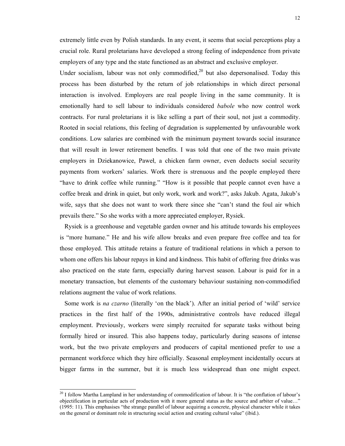extremely little even by Polish standards. In any event, it seems that social perceptions play a crucial role. Rural proletarians have developed a strong feeling of independence from private employers of any type and the state functioned as an abstract and exclusive employer.

Under socialism, labour was not only commodified, $2<sup>0</sup>$  but also depersonalised. Today this process has been disturbed by the return of job relationships in which direct personal interaction is involved. Employers are real people living in the same community. It is emotionally hard to sell labour to individuals considered *babole* who now control work contracts. For rural proletarians it is like selling a part of their soul, not just a commodity. Rooted in social relations, this feeling of degradation is supplemented by unfavourable work conditions. Low salaries are combined with the minimum payment towards social insurance that will result in lower retirement benefits. I was told that one of the two main private employers in Dziekanowice, Paweł, a chicken farm owner, even deducts social security payments from workers' salaries. Work there is strenuous and the people employed there "have to drink coffee while running." "How is it possible that people cannot even have a coffee break and drink in quiet, but only work, work and work?", asks Jakub. Agata, Jakub's wife, says that she does not want to work there since she "can't stand the foul air which prevails there." So she works with a more appreciated employer, Rysiek.

 Rysiek is a greenhouse and vegetable garden owner and his attitude towards his employees is "more humane." He and his wife allow breaks and even prepare free coffee and tea for those employed. This attitude retains a feature of traditional relations in which a person to whom one offers his labour repays in kind and kindness. This habit of offering free drinks was also practiced on the state farm, especially during harvest season. Labour is paid for in a monetary transaction, but elements of the customary behaviour sustaining non-commodified relations augment the value of work relations.

 Some work is *na czarno* (literally 'on the black'). After an initial period of 'wild' service practices in the first half of the 1990s, administrative controls have reduced illegal employment. Previously, workers were simply recruited for separate tasks without being formally hired or insured. This also happens today, particularly during seasons of intense work, but the two private employers and producers of capital mentioned prefer to use a permanent workforce which they hire officially. Seasonal employment incidentally occurs at bigger farms in the summer, but it is much less widespread than one might expect.

 $^{20}$  I follow Martha Lampland in her understanding of commodification of labour. It is "the conflation of labour's objectification in particular acts of production with it more general status as the source and arbiter of value…" (1995: 11). This emphasises "the strange parallel of labour acquiring a concrete, physical character while it takes on the general or dominant role in structuring social action and creating cultural value" (ibid.).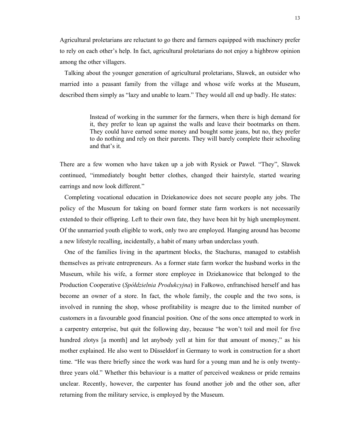Agricultural proletarians are reluctant to go there and farmers equipped with machinery prefer to rely on each other's help. In fact, agricultural proletarians do not enjoy a highbrow opinion among the other villagers.

 Talking about the younger generation of agricultural proletarians, Sławek, an outsider who married into a peasant family from the village and whose wife works at the Museum, described them simply as "lazy and unable to learn." They would all end up badly. He states:

> Instead of working in the summer for the farmers, when there is high demand for it, they prefer to lean up against the walls and leave their bootmarks on them. They could have earned some money and bought some jeans, but no, they prefer to do nothing and rely on their parents. They will barely complete their schooling and that's it.

There are a few women who have taken up a job with Rysiek or Paweł. "They", Sławek continued, "immediately bought better clothes, changed their hairstyle, started wearing earrings and now look different."

 Completing vocational education in Dziekanowice does not secure people any jobs. The policy of the Museum for taking on board former state farm workers is not necessarily extended to their offspring. Left to their own fate, they have been hit by high unemployment. Of the unmarried youth eligible to work, only two are employed. Hanging around has become a new lifestyle recalling, incidentally, a habit of many urban underclass youth.

 One of the families living in the apartment blocks, the Stachuras, managed to establish themselves as private entrepreneurs. As a former state farm worker the husband works in the Museum, while his wife, a former store employee in Dziekanowice that belonged to the Production Cooperative (*Spółdzielnia Produkcyjna*) in Fałkowo, enfranchised herself and has become an owner of a store. In fact, the whole family, the couple and the two sons, is involved in running the shop, whose profitability is meagre due to the limited number of customers in a favourable good financial position. One of the sons once attempted to work in a carpentry enterprise, but quit the following day, because "he won't toil and moil for five hundred zlotys [a month] and let anybody yell at him for that amount of money," as his mother explained. He also went to Düsseldorf in Germany to work in construction for a short time. "He was there briefly since the work was hard for a young man and he is only twentythree years old." Whether this behaviour is a matter of perceived weakness or pride remains unclear. Recently, however, the carpenter has found another job and the other son, after returning from the military service, is employed by the Museum.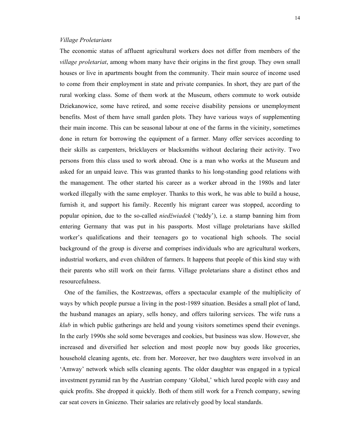### *Village Proletarians*

The economic status of affluent agricultural workers does not differ from members of the *village proletariat*, among whom many have their origins in the first group. They own small houses or live in apartments bought from the community. Their main source of income used to come from their employment in state and private companies. In short, they are part of the rural working class. Some of them work at the Museum, others commute to work outside Dziekanowice, some have retired, and some receive disability pensions or unemployment benefits. Most of them have small garden plots. They have various ways of supplementing their main income. This can be seasonal labour at one of the farms in the vicinity, sometimes done in return for borrowing the equipment of a farmer. Many offer services according to their skills as carpenters, bricklayers or blacksmiths without declaring their activity. Two persons from this class used to work abroad. One is a man who works at the Museum and asked for an unpaid leave. This was granted thanks to his long-standing good relations with the management. The other started his career as a worker abroad in the 1980s and later worked illegally with the same employer. Thanks to this work, he was able to build a house, furnish it, and support his family. Recently his migrant career was stopped, according to popular opinion, due to the so-called *niedźwiadek* ('teddy'), i.e. a stamp banning him from entering Germany that was put in his passports. Most village proletarians have skilled worker's qualifications and their teenagers go to vocational high schools. The social background of the group is diverse and comprises individuals who are agricultural workers, industrial workers, and even children of farmers. It happens that people of this kind stay with their parents who still work on their farms. Village proletarians share a distinct ethos and resourcefulness.

 One of the families, the Kostrzewas, offers a spectacular example of the multiplicity of ways by which people pursue a living in the post-1989 situation. Besides a small plot of land, the husband manages an apiary, sells honey, and offers tailoring services. The wife runs a *klub* in which public gatherings are held and young visitors sometimes spend their evenings. In the early 1990s she sold some beverages and cookies, but business was slow. However, she increased and diversified her selection and most people now buy goods like groceries, household cleaning agents, etc. from her. Moreover, her two daughters were involved in an 'Amway' network which sells cleaning agents. The older daughter was engaged in a typical investment pyramid ran by the Austrian company 'Global,' which lured people with easy and quick profits. She dropped it quickly. Both of them still work for a French company, sewing car seat covers in Gniezno. Their salaries are relatively good by local standards.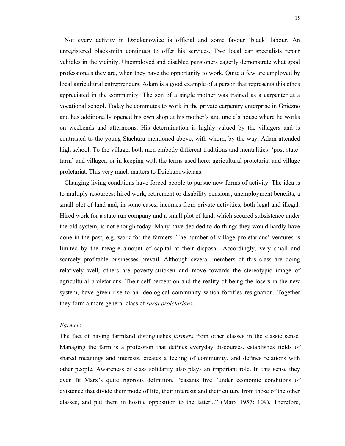Not every activity in Dziekanowice is official and some favour 'black' labour. An unregistered blacksmith continues to offer his services. Two local car specialists repair vehicles in the vicinity. Unemployed and disabled pensioners eagerly demonstrate what good professionals they are, when they have the opportunity to work. Quite a few are employed by local agricultural entrepreneurs. Adam is a good example of a person that represents this ethos appreciated in the community. The son of a single mother was trained as a carpenter at a vocational school. Today he commutes to work in the private carpentry enterprise in Gniezno and has additionally opened his own shop at his mother's and uncle's house where he works on weekends and afternoons. His determination is highly valued by the villagers and is contrasted to the young Stachura mentioned above, with whom, by the way, Adam attended high school. To the village, both men embody different traditions and mentalities: 'post-statefarm' and villager, or in keeping with the terms used here: agricultural proletariat and village proletariat. This very much matters to Dziekanowicians.

 Changing living conditions have forced people to pursue new forms of activity. The idea is to multiply resources: hired work, retirement or disability pensions, unemployment benefits, a small plot of land and, in some cases, incomes from private activities, both legal and illegal. Hired work for a state-run company and a small plot of land, which secured subsistence under the old system, is not enough today. Many have decided to do things they would hardly have done in the past, e.g. work for the farmers. The number of village proletarians' ventures is limited by the meagre amount of capital at their disposal. Accordingly, very small and scarcely profitable businesses prevail. Although several members of this class are doing relatively well, others are poverty-stricken and move towards the stereotypic image of agricultural proletarians. Their self-perception and the reality of being the losers in the new system, have given rise to an ideological community which fortifies resignation. Together they form a more general class of *rural proletarians*.

## *Farmers*

The fact of having farmland distinguishes *farmers* from other classes in the classic sense. Managing the farm is a profession that defines everyday discourses, establishes fields of shared meanings and interests, creates a feeling of community, and defines relations with other people. Awareness of class solidarity also plays an important role. In this sense they even fit Marx's quite rigorous definition. Peasants live "under economic conditions of existence that divide their mode of life, their interests and their culture from those of the other classes, and put them in hostile opposition to the latter..." (Marx 1957: 109). Therefore,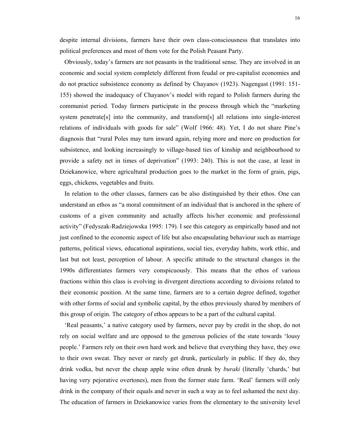16

despite internal divisions, farmers have their own class-consciousness that translates into political preferences and most of them vote for the Polish Peasant Party.

 Obviously, today's farmers are not peasants in the traditional sense. They are involved in an economic and social system completely different from feudal or pre-capitalist economies and do not practice subsistence economy as defined by Chayanov (1923). Nagengast (1991: 151- 155) showed the inadequacy of Chayanov's model with regard to Polish farmers during the communist period. Today farmers participate in the process through which the "marketing system penetrate[s] into the community, and transform[s] all relations into single-interest relations of individuals with goods for sale" (Wolf 1966: 48). Yet, I do not share Pine's diagnosis that "rural Poles may turn inward again, relying more and more on production for subsistence, and looking increasingly to village-based ties of kinship and neighbourhood to provide a safety net in times of deprivation" (1993: 240). This is not the case, at least in Dziekanowice, where agricultural production goes to the market in the form of grain, pigs, eggs, chickens, vegetables and fruits.

 In relation to the other classes, farmers can be also distinguished by their ethos. One can understand an ethos as "a moral commitment of an individual that is anchored in the sphere of customs of a given community and actually affects his/her economic and professional activity" (Fedyszak-Radziejowska 1995: 179). I see this category as empirically based and not just confined to the economic aspect of life but also encapsulating behaviour such as marriage patterns, political views, educational aspirations, social ties, everyday habits, work ethic, and last but not least, perception of labour. A specific attitude to the structural changes in the 1990s differentiates farmers very conspicuously. This means that the ethos of various fractions within this class is evolving in divergent directions according to divisions related to their economic position. At the same time, farmers are to a certain degree defined, together with other forms of social and symbolic capital, by the ethos previously shared by members of this group of origin. The category of ethos appears to be a part of the cultural capital.

 'Real peasants,' a native category used by farmers, never pay by credit in the shop, do not rely on social welfare and are opposed to the generous policies of the state towards 'lousy people.' Farmers rely on their own hard work and believe that everything they have, they owe to their own sweat. They never or rarely get drunk, particularly in public. If they do, they drink vodka, but never the cheap apple wine often drunk by *buraki* (literally 'chards,' but having very pejorative overtones), men from the former state farm. 'Real' farmers will only drink in the company of their equals and never in such a way as to feel ashamed the next day. The education of farmers in Dziekanowice varies from the elementary to the university level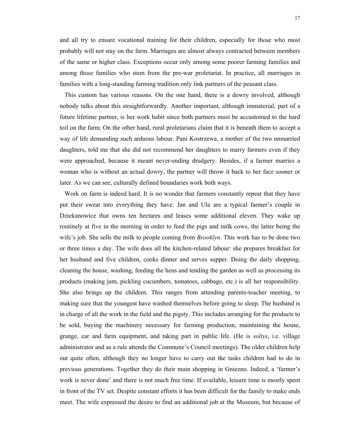and all try to ensure vocational training for their children, especially for those who most probably will not stay on the farm. Marriages are almost always contracted between members of the same or higher class. Exceptions occur only among some poorer farming families and among those families who stem from the pre-war proletariat. In practice, all marriages in families with a long-standing farming tradition only link partners of the peasant class.

 This custom has various reasons. On the one hand, there is a dowry involved, although nobody talks about this straightforwardly. Another important, although immaterial, part of a future lifetime partner, is her work habit since both partners must be accustomed to the hard toil on the farm. On the other hand, rural proletarians claim that it is beneath them to accept a way of life demanding such arduous labour. Pani Kostrzewa, a mother of the two unmarried daughters, told me that she did not recommend her daughters to marry farmers even if they were approached, because it meant never-ending drudgery. Besides, if a farmer marries a woman who is without an actual dowry, the partner will throw it back to her face sooner or later. As we can see, culturally defined boundaries work both ways.

 Work on farm is indeed hard. It is no wonder that farmers constantly repeat that they have put their sweat into everything they have. Jan and Ula are a typical farmer's couple in Dziekanowice that owns ten hectares and leases some additional eleven. They wake up routinely at five in the morning in order to feed the pigs and milk cows, the latter being the wife's job. She sells the milk to people coming from *Brooklyn*. This work has to be done two or three times a day. The wife does all the kitchen-related labour: she prepares breakfast for her husband and five children, cooks dinner and serves supper. Doing the daily shopping, cleaning the house, washing, feeding the hens and tending the garden as well as processing its products (making jam, pickling cucumbers, tomatoes, cabbage, etc.) is all her responsibility. She also brings up the children. This ranges from attending parents-teacher meeting, to making sure that the youngest have washed themselves before going to sleep. The husband is in charge of all the work in the field and the pigsty. This includes arranging for the products to be sold, buying the machinery necessary for farming production, maintaining the house, grange, car and farm equipment, and taking part in public life. (He is *soltys*, i.e. village administrator and as a rule attends the Commune's Council meetings). The older children help out quite often, although they no longer have to carry out the tasks children had to do in previous generations. Together they do their main shopping in Gniezno. Indeed, a 'farmer's work is never done' and there is not much free time. If available, leisure time is mostly spent in front of the TV set. Despite constant efforts it has been difficult for the family to make ends meet. The wife expressed the desire to find an additional job at the Museum, but because of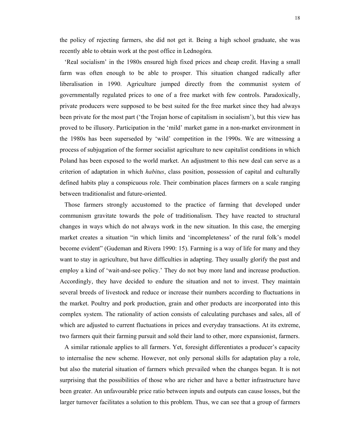the policy of rejecting farmers, she did not get it. Being a high school graduate, she was recently able to obtain work at the post office in Lednogóra.

 'Real socialism' in the 1980s ensured high fixed prices and cheap credit. Having a small farm was often enough to be able to prosper. This situation changed radically after liberalisation in 1990. Agriculture jumped directly from the communist system of governmentally regulated prices to one of a free market with few controls. Paradoxically, private producers were supposed to be best suited for the free market since they had always been private for the most part ('the Trojan horse of capitalism in socialism'), but this view has proved to be illusory. Participation in the 'mild' market game in a non-market environment in the 1980s has been superseded by 'wild' competition in the 1990s. We are witnessing a process of subjugation of the former socialist agriculture to new capitalist conditions in which Poland has been exposed to the world market. An adjustment to this new deal can serve as a criterion of adaptation in which *habitus*, class position, possession of capital and culturally defined habits play a conspicuous role. Their combination places farmers on a scale ranging between traditionalist and future-oriented.

 Those farmers strongly accustomed to the practice of farming that developed under communism gravitate towards the pole of traditionalism. They have reacted to structural changes in ways which do not always work in the new situation. In this case, the emerging market creates a situation "in which limits and 'incompleteness' of the rural folk's model become evident" (Gudeman and Rivera 1990: 15). Farming is a way of life for many and they want to stay in agriculture, but have difficulties in adapting. They usually glorify the past and employ a kind of 'wait-and-see policy.' They do not buy more land and increase production. Accordingly, they have decided to endure the situation and not to invest. They maintain several breeds of livestock and reduce or increase their numbers according to fluctuations in the market. Poultry and pork production, grain and other products are incorporated into this complex system. The rationality of action consists of calculating purchases and sales, all of which are adjusted to current fluctuations in prices and everyday transactions. At its extreme, two farmers quit their farming pursuit and sold their land to other, more expansionist, farmers.

 A similar rationale applies to all farmers. Yet, foresight differentiates a producer's capacity to internalise the new scheme. However, not only personal skills for adaptation play a role, but also the material situation of farmers which prevailed when the changes began. It is not surprising that the possibilities of those who are richer and have a better infrastructure have been greater. An unfavourable price ratio between inputs and outputs can cause losses, but the larger turnover facilitates a solution to this problem. Thus, we can see that a group of farmers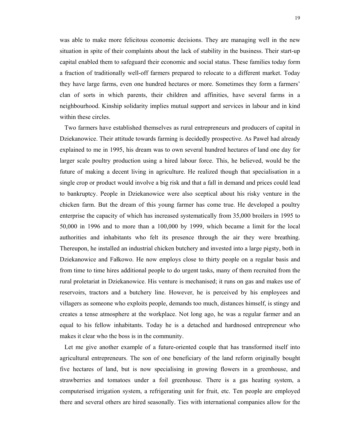was able to make more felicitous economic decisions. They are managing well in the new situation in spite of their complaints about the lack of stability in the business. Their start-up capital enabled them to safeguard their economic and social status. These families today form a fraction of traditionally well-off farmers prepared to relocate to a different market. Today they have large farms, even one hundred hectares or more. Sometimes they form a farmers' clan of sorts in which parents, their children and affinities, have several farms in a neighbourhood. Kinship solidarity implies mutual support and services in labour and in kind within these circles.

 Two farmers have established themselves as rural entrepreneurs and producers of capital in Dziekanowice. Their attitude towards farming is decidedly prospective. As Paweł had already explained to me in 1995, his dream was to own several hundred hectares of land one day for larger scale poultry production using a hired labour force. This, he believed, would be the future of making a decent living in agriculture. He realized though that specialisation in a single crop or product would involve a big risk and that a fall in demand and prices could lead to bankruptcy. People in Dziekanowice were also sceptical about his risky venture in the chicken farm. But the dream of this young farmer has come true. He developed a poultry enterprise the capacity of which has increased systematically from 35,000 broilers in 1995 to 50,000 in 1996 and to more than a 100,000 by 1999, which became a limit for the local authorities and inhabitants who felt its presence through the air they were breathing. Thereupon, he installed an industrial chicken butchery and invested into a large pigsty, both in Dziekanowice and Fałkowo. He now employs close to thirty people on a regular basis and from time to time hires additional people to do urgent tasks, many of them recruited from the rural proletariat in Dziekanowice. His venture is mechanised; it runs on gas and makes use of reservoirs, tractors and a butchery line. However, he is perceived by his employees and villagers as someone who exploits people, demands too much, distances himself, is stingy and creates a tense atmosphere at the workplace. Not long ago, he was a regular farmer and an equal to his fellow inhabitants. Today he is a detached and hardnosed entrepreneur who makes it clear who the boss is in the community.

 Let me give another example of a future-oriented couple that has transformed itself into agricultural entrepreneurs. The son of one beneficiary of the land reform originally bought five hectares of land, but is now specialising in growing flowers in a greenhouse, and strawberries and tomatoes under a foil greenhouse. There is a gas heating system, a computerised irrigation system, a refrigerating unit for fruit, etc. Ten people are employed there and several others are hired seasonally. Ties with international companies allow for the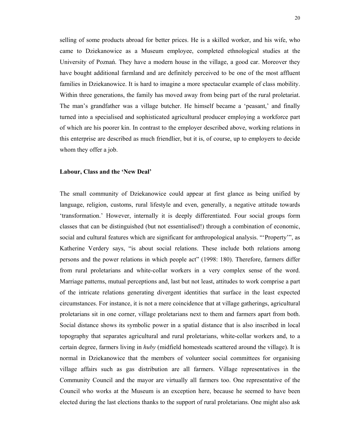selling of some products abroad for better prices. He is a skilled worker, and his wife, who came to Dziekanowice as a Museum employee, completed ethnological studies at the University of Poznań. They have a modern house in the village, a good car. Moreover they have bought additional farmland and are definitely perceived to be one of the most affluent families in Dziekanowice. It is hard to imagine a more spectacular example of class mobility. Within three generations, the family has moved away from being part of the rural proletariat. The man's grandfather was a village butcher. He himself became a 'peasant,' and finally turned into a specialised and sophisticated agricultural producer employing a workforce part of which are his poorer kin. In contrast to the employer described above, working relations in this enterprise are described as much friendlier, but it is, of course, up to employers to decide whom they offer a job.

#### **Labour, Class and the 'New Deal'**

The small community of Dziekanowice could appear at first glance as being unified by language, religion, customs, rural lifestyle and even, generally, a negative attitude towards 'transformation.' However, internally it is deeply differentiated. Four social groups form classes that can be distinguished (but not essentialised!) through a combination of economic, social and cultural features which are significant for anthropological analysis. "'Property'", as Katherine Verdery says, "is about social relations. These include both relations among persons and the power relations in which people act" (1998: 180). Therefore, farmers differ from rural proletarians and white-collar workers in a very complex sense of the word. Marriage patterns, mutual perceptions and, last but not least, attitudes to work comprise a part of the intricate relations generating divergent identities that surface in the least expected circumstances. For instance, it is not a mere coincidence that at village gatherings, agricultural proletarians sit in one corner, village proletarians next to them and farmers apart from both. Social distance shows its symbolic power in a spatial distance that is also inscribed in local topography that separates agricultural and rural proletarians, white-collar workers and, to a certain degree, farmers living in *huby* (midfield homesteads scattered around the village). It is normal in Dziekanowice that the members of volunteer social committees for organising village affairs such as gas distribution are all farmers. Village representatives in the Community Council and the mayor are virtually all farmers too. One representative of the Council who works at the Museum is an exception here, because he seemed to have been elected during the last elections thanks to the support of rural proletarians. One might also ask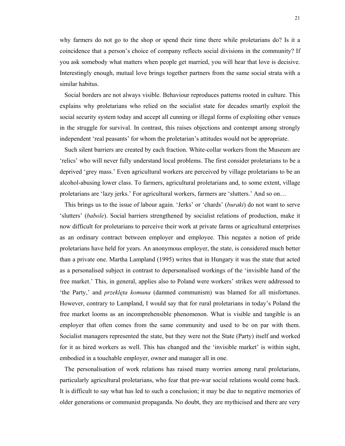why farmers do not go to the shop or spend their time there while proletarians do? Is it a coincidence that a person's choice of company reflects social divisions in the community? If you ask somebody what matters when people get married, you will hear that love is decisive. Interestingly enough, mutual love brings together partners from the same social strata with a similar habitus.

 Social borders are not always visible. Behaviour reproduces patterns rooted in culture. This explains why proletarians who relied on the socialist state for decades smartly exploit the social security system today and accept all cunning or illegal forms of exploiting other venues in the struggle for survival. In contrast, this raises objections and contempt among strongly independent 'real peasants' for whom the proletarian's attitudes would not be appropriate.

 Such silent barriers are created by each fraction. White-collar workers from the Museum are 'relics' who will never fully understand local problems. The first consider proletarians to be a deprived 'grey mass.' Even agricultural workers are perceived by village proletarians to be an alcohol-abusing lower class. To farmers, agricultural proletarians and, to some extent, village proletarians are 'lazy jerks.' For agricultural workers, farmers are 'slutters.' And so on…

 This brings us to the issue of labour again. 'Jerks' or 'chards' (*buraki*) do not want to serve 'slutters' (*babole*). Social barriers strengthened by socialist relations of production, make it now difficult for proletarians to perceive their work at private farms or agricultural enterprises as an ordinary contract between employer and employee. This negates a notion of pride proletarians have held for years. An anonymous employer, the state, is considered much better than a private one. Martha Lampland (1995) writes that in Hungary it was the state that acted as a personalised subject in contrast to depersonalised workings of the 'invisible hand of the free market.' This, in general, applies also to Poland were workers' strikes were addressed to 'the Party,' and *przeklęta komuna* (damned communism) was blamed for all misfortunes. However, contrary to Lampland, I would say that for rural proletarians in today's Poland the free market looms as an incomprehensible phenomenon. What is visible and tangible is an employer that often comes from the same community and used to be on par with them. Socialist managers represented the state, but they were not the State (Party) itself and worked for it as hired workers as well. This has changed and the 'invisible market' is within sight, embodied in a touchable employer, owner and manager all in one.

 The personalisation of work relations has raised many worries among rural proletarians, particularly agricultural proletarians, who fear that pre-war social relations would come back. It is difficult to say what has led to such a conclusion; it may be due to negative memories of older generations or communist propaganda. No doubt, they are mythicised and there are very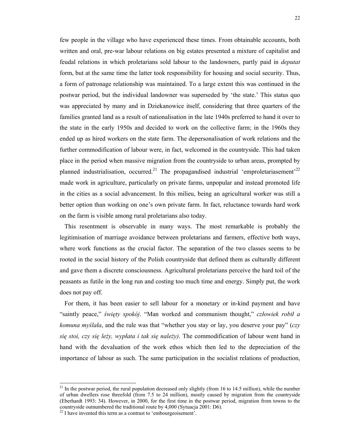few people in the village who have experienced these times. From obtainable accounts, both written and oral, pre-war labour relations on big estates presented a mixture of capitalist and feudal relations in which proletarians sold labour to the landowners, partly paid in *deputat* form, but at the same time the latter took responsibility for housing and social security. Thus, a form of patronage relationship was maintained. To a large extent this was continued in the postwar period, but the individual landowner was superseded by 'the state.' This status quo was appreciated by many and in Dziekanowice itself, considering that three quarters of the families granted land as a result of nationalisation in the late 1940s preferred to hand it over to the state in the early 1950s and decided to work on the collective farm; in the 1960s they ended up as hired workers on the state farm. The depersonalisation of work relations and the further commodification of labour were, in fact, welcomed in the countryside. This had taken place in the period when massive migration from the countryside to urban areas, prompted by planned industrialisation, occurred.<sup>21</sup> The propagandised industrial 'emproletariasement'<sup>22</sup> made work in agriculture, particularly on private farms, unpopular and instead promoted life in the cities as a social advancement. In this milieu, being an agricultural worker was still a better option than working on one's own private farm. In fact, reluctance towards hard work on the farm is visible among rural proletarians also today.

 This resentment is observable in many ways. The most remarkable is probably the legitimisation of marriage avoidance between proletarians and farmers, effective both ways, where work functions as the crucial factor. The separation of the two classes seems to be rooted in the social history of the Polish countryside that defined them as culturally different and gave them a discrete consciousness. Agricultural proletarians perceive the hard toil of the peasants as futile in the long run and costing too much time and energy. Simply put, the work does not pay off.

 For them, it has been easier to sell labour for a monetary or in-kind payment and have "saintly peace," *święty spokój*. "Man worked and communism thought," *człowiek robił a komuna myślała*, and the rule was that "whether you stay or lay, you deserve your pay" (*czy się stoi, czy się leży, wypłata i tak się należy)*. The commodification of labour went hand in hand with the devaluation of the work ethos which then led to the depreciation of the importance of labour as such. The same participation in the socialist relations of production,

l

 $^{21}$  In the postwar period, the rural population decreased only slightly (from 16 to 14.5 million), while the number of urban dwellers rose threefold (from 7.5 to 24 million), mostly caused by migration from the countryside (Eberhardt 1993: 34). However, in 2000, for the first time in the postwar period, migration from towns to the countryside outnumbered the traditional route by 4,000 (Sytuacja 2001: D6).

<sup>&</sup>lt;sup>22</sup> I have invented this term as a contrast to 'embourgeoisement'.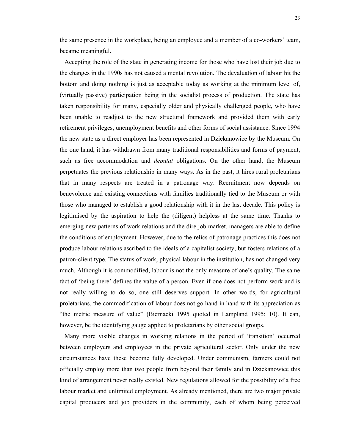the same presence in the workplace, being an employee and a member of a co-workers' team, became meaningful.

 Accepting the role of the state in generating income for those who have lost their job due to the changes in the 1990s has not caused a mental revolution. The devaluation of labour hit the bottom and doing nothing is just as acceptable today as working at the minimum level of, (virtually passive) participation being in the socialist process of production. The state has taken responsibility for many, especially older and physically challenged people, who have been unable to readjust to the new structural framework and provided them with early retirement privileges, unemployment benefits and other forms of social assistance. Since 1994 the new state as a direct employer has been represented in Dziekanowice by the Museum. On the one hand, it has withdrawn from many traditional responsibilities and forms of payment, such as free accommodation and *deputat* obligations. On the other hand, the Museum perpetuates the previous relationship in many ways. As in the past, it hires rural proletarians that in many respects are treated in a patronage way. Recruitment now depends on benevolence and existing connections with families traditionally tied to the Museum or with those who managed to establish a good relationship with it in the last decade. This policy is legitimised by the aspiration to help the (diligent) helpless at the same time. Thanks to emerging new patterns of work relations and the dire job market, managers are able to define the conditions of employment. However, due to the relics of patronage practices this does not produce labour relations ascribed to the ideals of a capitalist society, but fosters relations of a patron-client type. The status of work, physical labour in the institution, has not changed very much. Although it is commodified, labour is not the only measure of one's quality. The same fact of 'being there' defines the value of a person. Even if one does not perform work and is not really willing to do so, one still deserves support. In other words, for agricultural proletarians, the commodification of labour does not go hand in hand with its appreciation as "the metric measure of value" (Biernacki 1995 quoted in Lampland 1995: 10). It can, however, be the identifying gauge applied to proletarians by other social groups.

 Many more visible changes in working relations in the period of 'transition' occurred between employers and employees in the private agricultural sector. Only under the new circumstances have these become fully developed. Under communism, farmers could not officially employ more than two people from beyond their family and in Dziekanowice this kind of arrangement never really existed. New regulations allowed for the possibility of a free labour market and unlimited employment. As already mentioned, there are two major private capital producers and job providers in the community, each of whom being perceived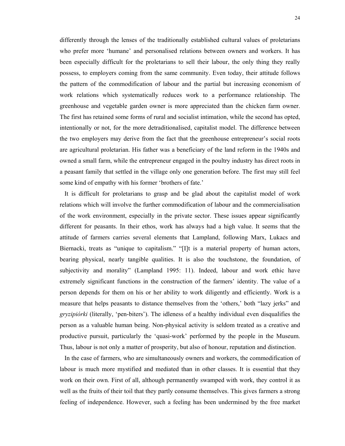differently through the lenses of the traditionally established cultural values of proletarians who prefer more 'humane' and personalised relations between owners and workers. It has been especially difficult for the proletarians to sell their labour, the only thing they really possess, to employers coming from the same community. Even today, their attitude follows the pattern of the commodification of labour and the partial but increasing economism of work relations which systematically reduces work to a performance relationship. The greenhouse and vegetable garden owner is more appreciated than the chicken farm owner. The first has retained some forms of rural and socialist intimation, while the second has opted, intentionally or not, for the more detraditionalised, capitalist model. The difference between the two employers may derive from the fact that the greenhouse entrepreneur's social roots are agricultural proletarian. His father was a beneficiary of the land reform in the 1940s and owned a small farm, while the entrepreneur engaged in the poultry industry has direct roots in a peasant family that settled in the village only one generation before. The first may still feel some kind of empathy with his former 'brothers of fate.'

 It is difficult for proletarians to grasp and be glad about the capitalist model of work relations which will involve the further commodification of labour and the commercialisation of the work environment, especially in the private sector. These issues appear significantly different for peasants. In their ethos, work has always had a high value. It seems that the attitude of farmers carries several elements that Lampland, following Marx, Lukacs and Biernacki, treats as "unique to capitalism." "[I]t is a material property of human actors, bearing physical, nearly tangible qualities. It is also the touchstone, the foundation, of subjectivity and morality" (Lampland 1995: 11). Indeed, labour and work ethic have extremely significant functions in the construction of the farmers' identity. The value of a person depends for them on his or her ability to work diligently and efficiently. Work is a measure that helps peasants to distance themselves from the 'others,' both "lazy jerks" and *gryzipiórki* (literally, 'pen-biters'). The idleness of a healthy individual even disqualifies the person as a valuable human being. Non-physical activity is seldom treated as a creative and productive pursuit, particularly the 'quasi-work' performed by the people in the Museum. Thus, labour is not only a matter of prosperity, but also of honour, reputation and distinction.

 In the case of farmers, who are simultaneously owners and workers, the commodification of labour is much more mystified and mediated than in other classes. It is essential that they work on their own. First of all, although permanently swamped with work, they control it as well as the fruits of their toil that they partly consume themselves. This gives farmers a strong feeling of independence. However, such a feeling has been undermined by the free market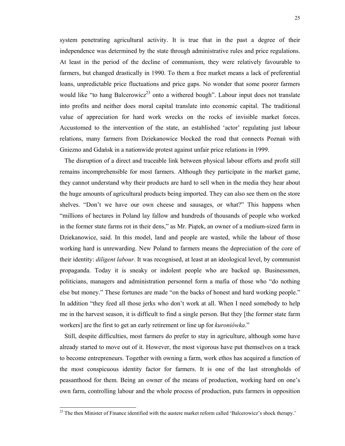system penetrating agricultural activity. It is true that in the past a degree of their independence was determined by the state through administrative rules and price regulations. At least in the period of the decline of communism, they were relatively favourable to farmers, but changed drastically in 1990. To them a free market means a lack of preferential loans, unpredictable price fluctuations and price gaps. No wonder that some poorer farmers would like "to hang Balcerowicz<sup>23</sup> onto a withered bough". Labour input does not translate into profits and neither does moral capital translate into economic capital. The traditional value of appreciation for hard work wrecks on the rocks of invisible market forces. Accustomed to the intervention of the state, an established 'actor' regulating just labour relations, many farmers from Dziekanowice blocked the road that connects Poznań with Gniezno and Gdańsk in a nationwide protest against unfair price relations in 1999.

 The disruption of a direct and traceable link between physical labour efforts and profit still remains incomprehensible for most farmers. Although they participate in the market game, they cannot understand why their products are hard to sell when in the media they hear about the huge amounts of agricultural products being imported. They can also see them on the store shelves. "Don't we have our own cheese and sausages, or what?" This happens when "millions of hectares in Poland lay fallow and hundreds of thousands of people who worked in the former state farms rot in their dens," as Mr. Piątek, an owner of a medium-sized farm in Dziekanowice, said. In this model, land and people are wasted, while the labour of those working hard is unrewarding. New Poland to farmers means the depreciation of the core of their identity: *diligent labour*. It was recognised, at least at an ideological level, by communist propaganda. Today it is sneaky or indolent people who are backed up. Businessmen, politicians, managers and administration personnel form a mafia of those who "do nothing else but money." These fortunes are made "on the backs of honest and hard working people." In addition "they feed all those jerks who don't work at all. When I need somebody to help me in the harvest season, it is difficult to find a single person. But they [the former state farm workers] are the first to get an early retirement or line up for *kuroniówka*."

 Still, despite difficulties, most farmers do prefer to stay in agriculture, although some have already started to move out of it. However, the most vigorous have put themselves on a track to become entrepreneurs. Together with owning a farm, work ethos has acquired a function of the most conspicuous identity factor for farmers. It is one of the last strongholds of peasanthood for them. Being an owner of the means of production, working hard on one's own farm, controlling labour and the whole process of production, puts farmers in opposition

<sup>&</sup>lt;sup>23</sup> The then Minister of Finance identified with the austere market reform called 'Balcerowicz's shock therapy.'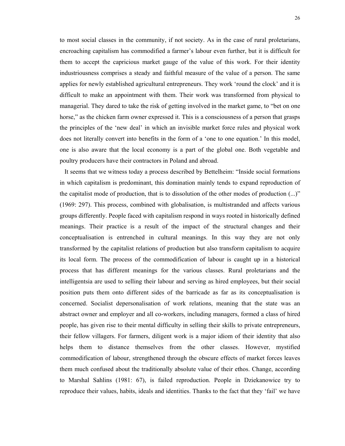to most social classes in the community, if not society. As in the case of rural proletarians, encroaching capitalism has commodified a farmer's labour even further, but it is difficult for them to accept the capricious market gauge of the value of this work. For their identity industriousness comprises a steady and faithful measure of the value of a person. The same applies for newly established agricultural entrepreneurs. They work 'round the clock' and it is difficult to make an appointment with them. Their work was transformed from physical to managerial. They dared to take the risk of getting involved in the market game, to "bet on one horse," as the chicken farm owner expressed it. This is a consciousness of a person that grasps the principles of the 'new deal' in which an invisible market force rules and physical work does not literally convert into benefits in the form of a 'one to one equation.' In this model, one is also aware that the local economy is a part of the global one. Both vegetable and poultry producers have their contractors in Poland and abroad.

 It seems that we witness today a process described by Bettelheim: "Inside social formations in which capitalism is predominant, this domination mainly tends to expand reproduction of the capitalist mode of production, that is to dissolution of the other modes of production (...)" (1969: 297). This process, combined with globalisation, is multistranded and affects various groups differently. People faced with capitalism respond in ways rooted in historically defined meanings. Their practice is a result of the impact of the structural changes and their conceptualisation is entrenched in cultural meanings. In this way they are not only transformed by the capitalist relations of production but also transform capitalism to acquire its local form. The process of the commodification of labour is caught up in a historical process that has different meanings for the various classes. Rural proletarians and the intelligentsia are used to selling their labour and serving as hired employees, but their social position puts them onto different sides of the barricade as far as its conceptualisation is concerned. Socialist depersonalisation of work relations, meaning that the state was an abstract owner and employer and all co-workers, including managers, formed a class of hired people, has given rise to their mental difficulty in selling their skills to private entrepreneurs, their fellow villagers. For farmers, diligent work is a major idiom of their identity that also helps them to distance themselves from the other classes. However, mystified commodification of labour, strengthened through the obscure effects of market forces leaves them much confused about the traditionally absolute value of their ethos. Change, according to Marshal Sahlins (1981: 67), is failed reproduction. People in Dziekanowice try to reproduce their values, habits, ideals and identities. Thanks to the fact that they 'fail' we have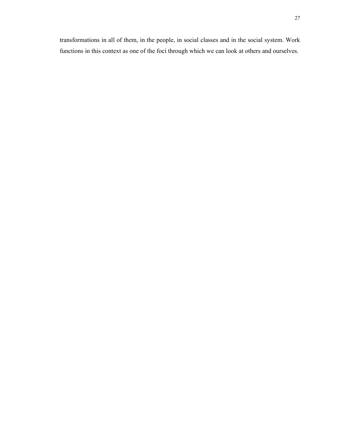transformations in all of them, in the people, in social classes and in the social system. Work functions in this context as one of the foci through which we can look at others and ourselves.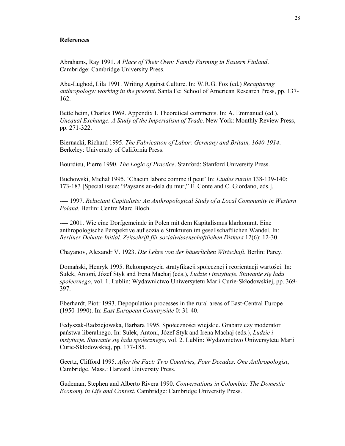#### **References**

Abrahams, Ray 1991. *A Place of Their Own: Family Farming in Eastern Finland*. Cambridge: Cambridge University Press.

Abu-Lughod, Lila 1991. Writing Against Culture. In: W.R.G. Fox (ed.) *Recapturing anthropology: working in the present*. Santa Fe: School of American Research Press, pp. 137- 162.

Bettelheim, Charles 1969. Appendix I. Theoretical comments. In: A. Emmanuel (ed.), *Unequal Exchange. A Study of the Imperialism of Trade*. New York: Monthly Review Press, pp. 271-322.

Biernacki, Richard 1995. *The Fabrication of Labor: Germany and Britain, 1640-1914*. Berkeley: University of California Press.

Bourdieu, Pierre 1990. *The Logic of Practice*. Stanford: Stanford University Press.

Buchowski, Michał 1995. 'Chacun labore comme il peut' In: *Etudes rurale* 138-139-140: 173-183 [Special issue: "Paysans au-dela du mur," E. Conte and C. Giordano, eds.].

---- 1997. *Reluctant Capitalists: An Anthropological Study of a Local Community in Western Poland*. Berlin: Centre Marc Bloch.

---- 2001. Wie eine Dorfgemeinde in Polen mit dem Kapitalismus klarkommt. Eine anthropologische Perspektive auf soziale Strukturen im gesellschaftlichen Wandel. In: *Berliner Debatte Initial. Zeitschrift für sozialwissenschaftlichen Diskurs* 12(6): 12-30.

Chayanov, Alexandr V. 1923. *Die Lehre von der bäuerlichen Wirtschaft*. Berlin: Parey.

Domański, Henryk 1995. Rekompozycja stratyfikacji społecznej i reorientacji wartości. In: Sułek, Antoni, Józef Styk and Irena Machaj (eds.), *Ludzie i instytucje. Stawanie się ładu społecznego*, vol. 1. Lublin: Wydawnictwo Uniwersytetu Marii Curie-Skłodowskiej, pp. 369- 397.

Eberhardt, Piotr 1993. Depopulation processes in the rural areas of East-Central Europe (1950-1990). In: *East European Countryside* 0: 31-40.

Fedyszak-Radziejowska, Barbara 1995. Społeczności wiejskie. Grabarz czy moderator państwa liberalnego. In: Sułek, Antoni, Józef Styk and Irena Machaj (eds.), *Ludzie i instytucje. Stawanie się ładu społecznego*, vol. 2. Lublin: Wydawnictwo Uniwersytetu Marii Curie-Skłodowskiej, pp. 177-185.

Geertz, Clifford 1995. *After the Fact: Two Countries, Four Decades, One Anthropologist*, Cambridge. Mass.: Harvard University Press.

Gudeman, Stephen and Alberto Rivera 1990. *Conversations in Colombia: The Domestic Economy in Life and Context*. Cambridge: Cambridge University Press.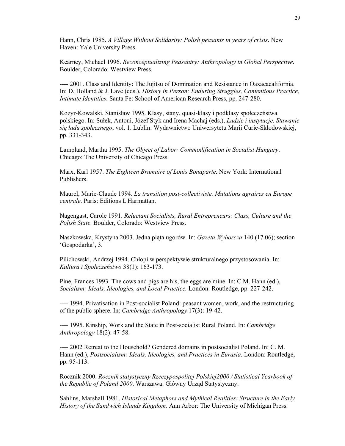Hann, Chris 1985. *A Village Without Solidarity: Polish peasants in years of crisis*. New Haven: Yale University Press.

Kearney, Michael 1996. *Reconceptualizing Peasantry: Anthropology in Global Perspective*. Boulder, Colorado: Westview Press.

---- 2001. Class and Identity: The Jujitsu of Domination and Resistance in Oaxacacalifornia. In: D. Holland & J. Lave (eds.), *History in Person: Enduring Struggles, Contentious Practice, Intimate Identities*. Santa Fe: School of American Research Press, pp. 247-280.

Kozyr-Kowalski, Stanisław 1995. Klasy, stany, quasi-klasy i podklasy społeczeństwa polskiego. In: Sułek, Antoni, Józef Styk and Irena Machaj (eds.), *Ludzie i instytucje. Stawanie się ładu społecznego*, vol. 1. Lublin: Wydawnictwo Uniwersytetu Marii Curie-Skłodowskiej, pp. 331-343.

Lampland, Martha 1995. *The Object of Labor: Commodification in Socialist Hungary*. Chicago: The University of Chicago Press.

Marx, Karl 1957. *The Eighteen Brumaire of Louis Bonaparte*. New York: International Publishers.

Maurel, Marie-Claude 1994. *La transition post-collectiviste. Mutations agraires en Europe centrale*. Paris: Editions L'Harmattan.

Nagengast, Carole 1991. *Reluctant Socialists, Rural Entrepreneurs: Class, Culture and the Polish State*. Boulder, Colorado: Westview Press.

Naszkowska, Krystyna 2003. Jedna piąta ugorów. In: *Gazeta Wyborcza* 140 (17.06); section 'Gospodarka', 3.

Pilichowski, Andrzej 1994. Chłopi w perspektywie strukturalnego przystosowania. In: *Kultura i Społeczeństwo* 38(1): 163-173.

Pine, Frances 1993. The cows and pigs are his, the eggs are mine. In: C.M. Hann (ed.), *Socialism: Ideals, Ideologies, and Local Practice.* London: Routledge, pp. 227-242.

---- 1994. Privatisation in Post-socialist Poland: peasant women, work, and the restructuring of the public sphere. In: *Cambridge Anthropology* 17(3): 19-42.

---- 1995. Kinship, Work and the State in Post-socialist Rural Poland. In: *Cambridge Anthropology* 18(2): 47-58.

---- 2002 Retreat to the Household? Gendered domains in postsocialist Poland. In: C. M. Hann (ed.), *Postsocialism: Ideals, Ideologies, and Practices in Eurasia.* London: Routledge, pp. 95-113.

Rocznik 2000. *Rocznik statystyczny Rzeczypospolitej Polskiej2000 / Statistical Yearbook of the Republic of Poland 2000*. Warszawa: Główny Urząd Statystyczny.

Sahlins, Marshall 1981. *Historical Metaphors and Mythical Realities: Structure in the Early History of the Sandwich Islands Kingdom*. Ann Arbor: The University of Michigan Press.